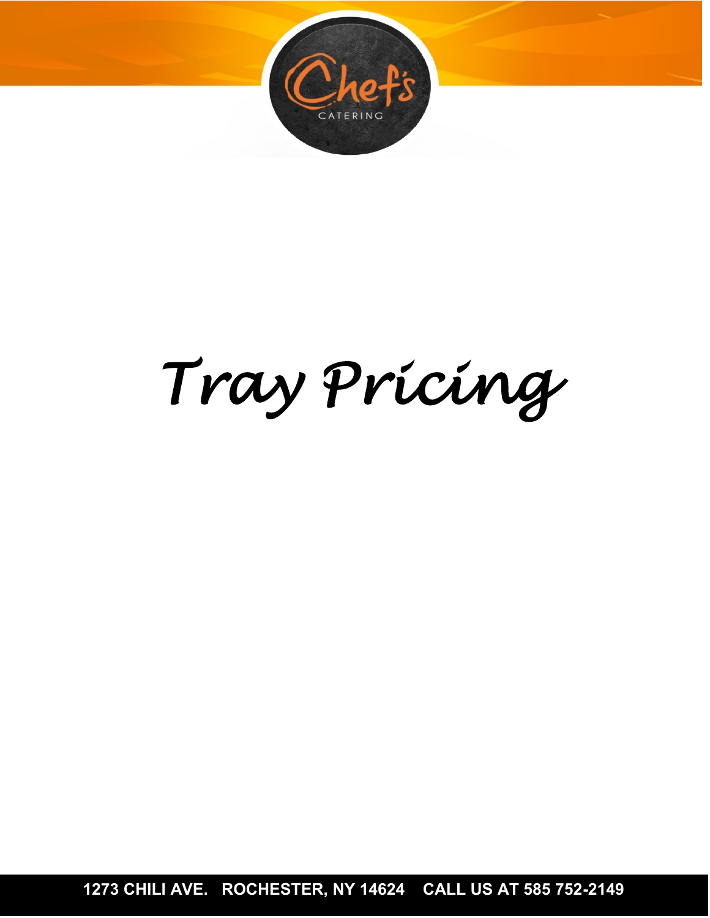

# *Tray Pricing*

**1273 CHILI AVE. ROCHESTER, NY 14624 CALL US AT 585 752-2149**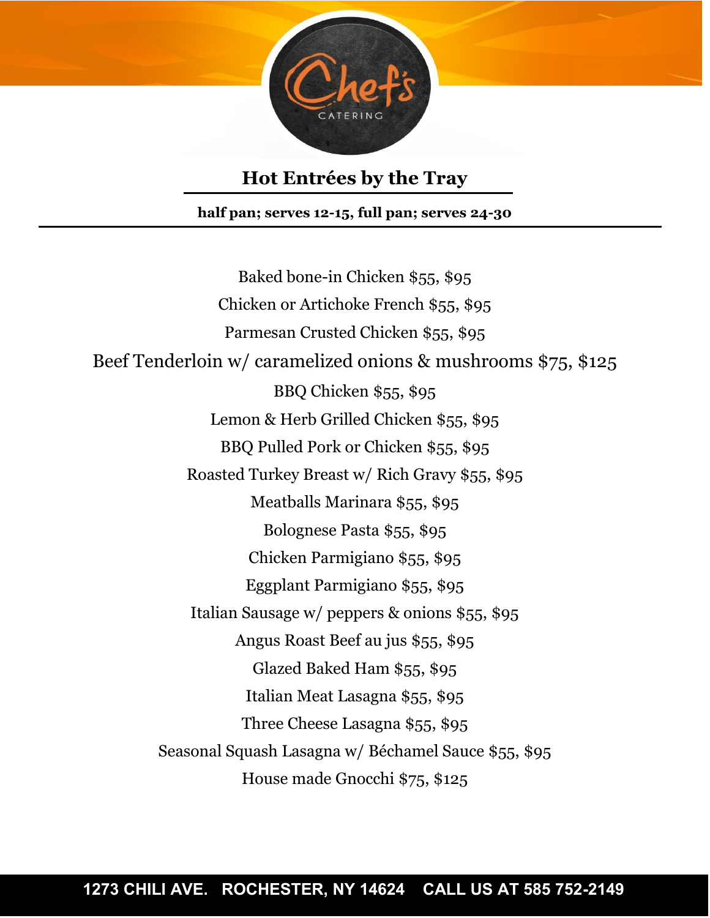

# **Hot Entrées by the Tray**

**half pan; serves 12-15, full pan; serves 24-30**

Baked bone-in Chicken \$55, \$95 Chicken or Artichoke French \$55, \$95 Parmesan Crusted Chicken \$55, \$95 Beef Tenderloin w/ caramelized onions & mushrooms \$75, \$125 BBQ Chicken \$55, \$95 Lemon & Herb Grilled Chicken \$55, \$95 BBQ Pulled Pork or Chicken \$55, \$95 Roasted Turkey Breast w/ Rich Gravy \$55, \$95 Meatballs Marinara \$55, \$95 Bolognese Pasta \$55, \$95 Chicken Parmigiano \$55, \$95 Eggplant Parmigiano \$55, \$95 Italian Sausage w/ peppers & onions \$55, \$95 Angus Roast Beef au jus \$55, \$95 Glazed Baked Ham \$55, \$95 Italian Meat Lasagna \$55, \$95 Three Cheese Lasagna \$55, \$95 Seasonal Squash Lasagna w/ Béchamel Sauce \$55, \$95 House made Gnocchi \$75, \$125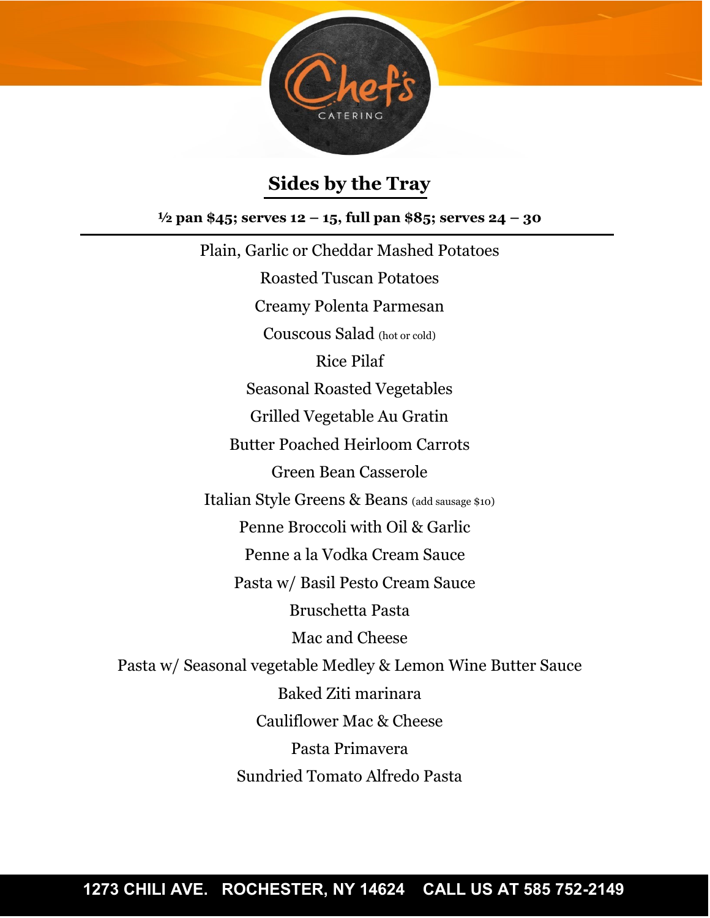

# **Sides by the Tray**

**½ pan \$45; serves 12 – 15, full pan \$85; serves 24 – 30**

Plain, Garlic or Cheddar Mashed Potatoes Roasted Tuscan Potatoes Creamy Polenta Parmesan Couscous Salad (hot or cold) Rice Pilaf Seasonal Roasted Vegetables Grilled Vegetable Au Gratin Butter Poached Heirloom Carrots Green Bean Casserole Italian Style Greens & Beans (add sausage \$10) Penne Broccoli with Oil & Garlic Penne a la Vodka Cream Sauce Pasta w/ Basil Pesto Cream Sauce Bruschetta Pasta Mac and Cheese Pasta w/ Seasonal vegetable Medley & Lemon Wine Butter Sauce Baked Ziti marinara Cauliflower Mac & Cheese Pasta Primavera Sundried Tomato Alfredo Pasta